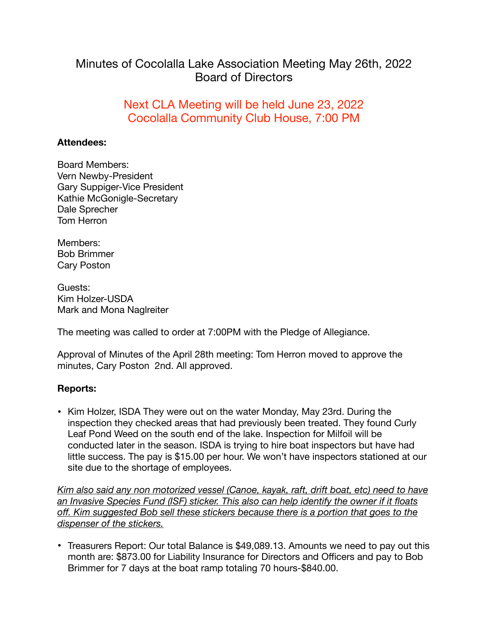## Minutes of Cocolalla Lake Association Meeting May 26th, 2022 Board of Directors

## Next CLA Meeting will be held June 23, 2022 Cocolalla Community Club House, 7:00 PM

## **Attendees:**

Board Members: Vern Newby-President Gary Suppiger-Vice President Kathie McGonigle-Secretary Dale Sprecher Tom Herron

Members: Bob Brimmer Cary Poston

Guests: Kim Holzer-USDA Mark and Mona Naglreiter

The meeting was called to order at 7:00PM with the Pledge of Allegiance.

Approval of Minutes of the April 28th meeting: Tom Herron moved to approve the minutes, Cary Poston 2nd. All approved.

## **Reports:**

• Kim Holzer, ISDA They were out on the water Monday, May 23rd. During the inspection they checked areas that had previously been treated. They found Curly Leaf Pond Weed on the south end of the lake. Inspection for Milfoil will be conducted later in the season. ISDA is trying to hire boat inspectors but have had little success. The pay is \$15.00 per hour. We won't have inspectors stationed at our site due to the shortage of employees.

*Kim also said any non motorized vessel (Canoe, kayak, raft, drift boat, etc) need to have an Invasive Species Fund (ISF) sticker. This also can help identify the owner if it floats off. Kim suggested Bob sell these stickers because there is a portion that goes to the dispenser of the stickers.* 

• Treasurers Report: Our total Balance is \$49,089.13. Amounts we need to pay out this month are: \$873.00 for Liability Insurance for Directors and Officers and pay to Bob Brimmer for 7 days at the boat ramp totaling 70 hours-\$840.00.